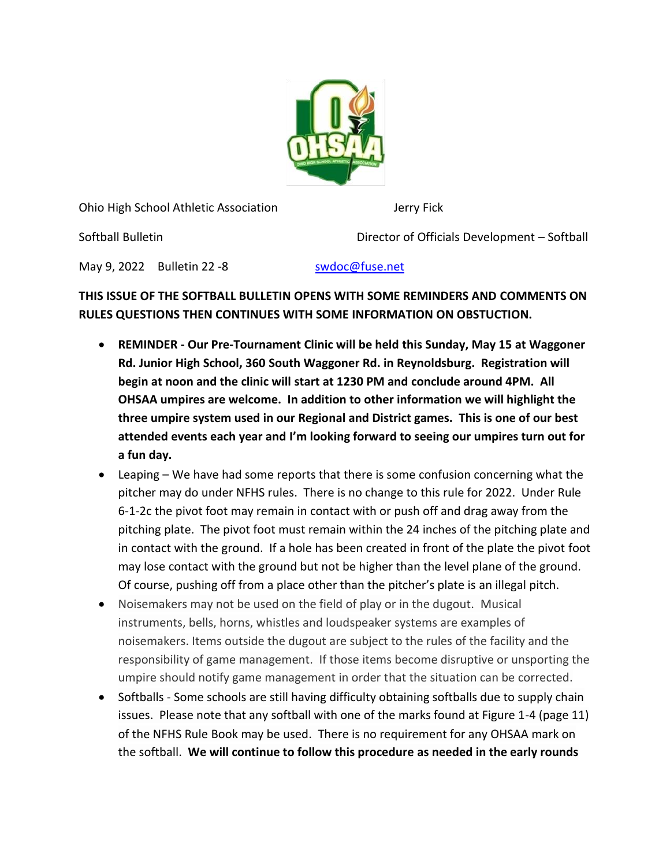

Ohio High School Athletic Association Jerry Fick

Softball Bulletin Director of Officials Development – Softball

May 9, 2022 Bulletin 22 -8 [swdoc@fuse.net](mailto:swdoc@fuse.net)

## **THIS ISSUE OF THE SOFTBALL BULLETIN OPENS WITH SOME REMINDERS AND COMMENTS ON RULES QUESTIONS THEN CONTINUES WITH SOME INFORMATION ON OBSTUCTION.**

- **REMINDER - Our Pre-Tournament Clinic will be held this Sunday, May 15 at Waggoner Rd. Junior High School, 360 South Waggoner Rd. in Reynoldsburg. Registration will begin at noon and the clinic will start at 1230 PM and conclude around 4PM. All OHSAA umpires are welcome. In addition to other information we will highlight the three umpire system used in our Regional and District games. This is one of our best attended events each year and I'm looking forward to seeing our umpires turn out for a fun day.**
- Leaping We have had some reports that there is some confusion concerning what the pitcher may do under NFHS rules. There is no change to this rule for 2022. Under Rule 6-1-2c the pivot foot may remain in contact with or push off and drag away from the pitching plate. The pivot foot must remain within the 24 inches of the pitching plate and in contact with the ground. If a hole has been created in front of the plate the pivot foot may lose contact with the ground but not be higher than the level plane of the ground. Of course, pushing off from a place other than the pitcher's plate is an illegal pitch.
- Noisemakers may not be used on the field of play or in the dugout. Musical instruments, bells, horns, whistles and loudspeaker systems are examples of noisemakers. Items outside the dugout are subject to the rules of the facility and the responsibility of game management. If those items become disruptive or unsporting the umpire should notify game management in order that the situation can be corrected.
- Softballs Some schools are still having difficulty obtaining softballs due to supply chain issues. Please note that any softball with one of the marks found at Figure 1-4 (page 11) of the NFHS Rule Book may be used. There is no requirement for any OHSAA mark on the softball. **We will continue to follow this procedure as needed in the early rounds**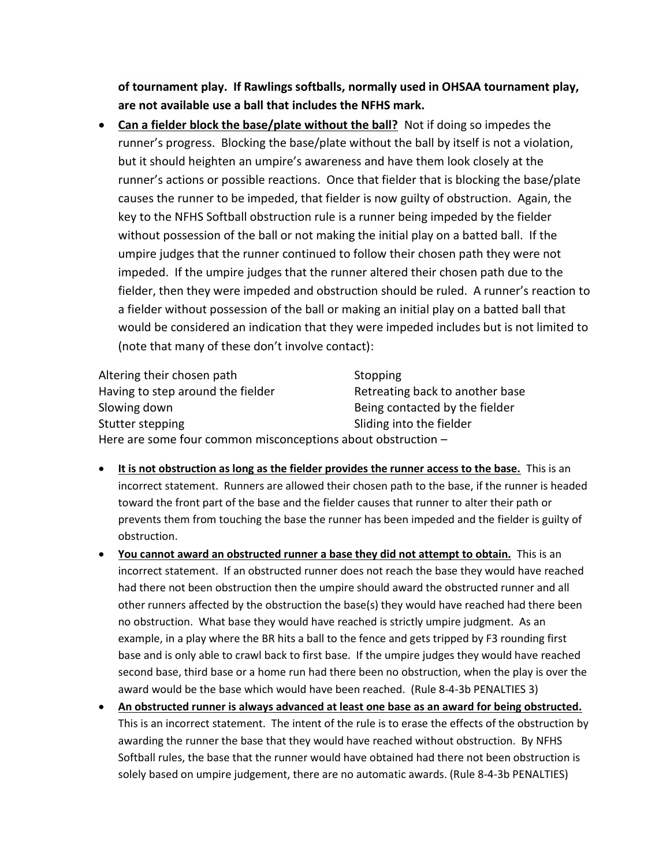**of tournament play. If Rawlings softballs, normally used in OHSAA tournament play, are not available use a ball that includes the NFHS mark.** 

• **Can a fielder block the base/plate without the ball?** Not if doing so impedes the runner's progress. Blocking the base/plate without the ball by itself is not a violation, but it should heighten an umpire's awareness and have them look closely at the runner's actions or possible reactions. Once that fielder that is blocking the base/plate causes the runner to be impeded, that fielder is now guilty of obstruction. Again, the key to the NFHS Softball obstruction rule is a runner being impeded by the fielder without possession of the ball or not making the initial play on a batted ball. If the umpire judges that the runner continued to follow their chosen path they were not impeded. If the umpire judges that the runner altered their chosen path due to the fielder, then they were impeded and obstruction should be ruled. A runner's reaction to a fielder without possession of the ball or making an initial play on a batted ball that would be considered an indication that they were impeded includes but is not limited to (note that many of these don't involve contact):

Altering their chosen path Stopping Having to step around the fielder **Retreating back to another base** Slowing down **Being contacted by the fielder Being** contacted by the fielder Stutter stepping Stutter stepping Here are some four common misconceptions about obstruction –

- **It is not obstruction as long as the fielder provides the runner access to the base.** This is an incorrect statement. Runners are allowed their chosen path to the base, if the runner is headed toward the front part of the base and the fielder causes that runner to alter their path or prevents them from touching the base the runner has been impeded and the fielder is guilty of obstruction.
- **You cannot award an obstructed runner a base they did not attempt to obtain.** This is an incorrect statement. If an obstructed runner does not reach the base they would have reached had there not been obstruction then the umpire should award the obstructed runner and all other runners affected by the obstruction the base(s) they would have reached had there been no obstruction. What base they would have reached is strictly umpire judgment. As an example, in a play where the BR hits a ball to the fence and gets tripped by F3 rounding first base and is only able to crawl back to first base. If the umpire judges they would have reached second base, third base or a home run had there been no obstruction, when the play is over the award would be the base which would have been reached. (Rule 8-4-3b PENALTIES 3)
- **An obstructed runner is always advanced at least one base as an award for being obstructed.** This is an incorrect statement. The intent of the rule is to erase the effects of the obstruction by awarding the runner the base that they would have reached without obstruction. By NFHS Softball rules, the base that the runner would have obtained had there not been obstruction is solely based on umpire judgement, there are no automatic awards. (Rule 8-4-3b PENALTIES)